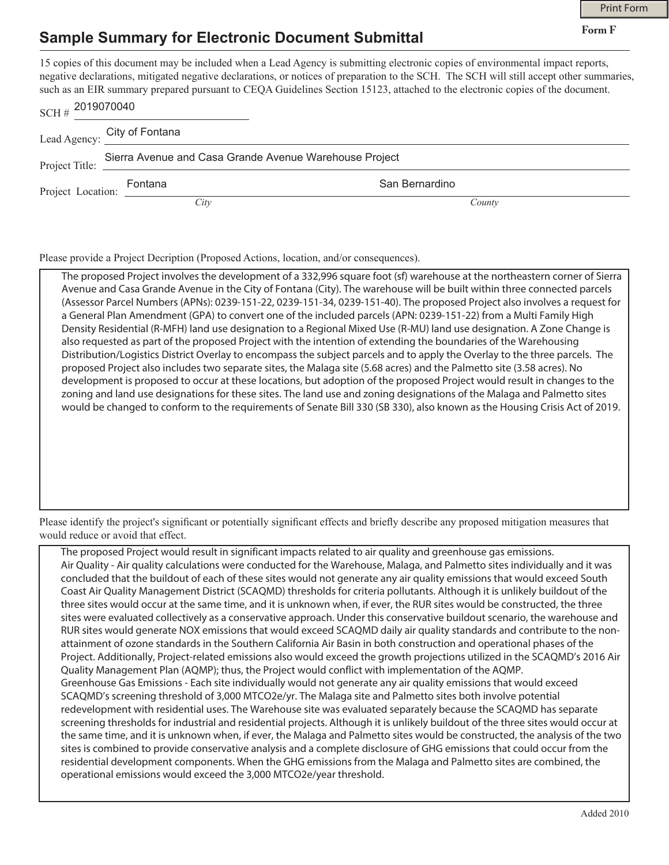**Form F**

## **Sample Summary for Electronic Document Submittal**

15 copies of this document may be included when a Lead Agency is submitting electronic copies of environmental impact reports, negative declarations, mitigated negative declarations, or notices of preparation to the SCH. The SCH will still accept other summaries, such as an EIR summary prepared pursuant to CEQA Guidelines Section 15123, attached to the electronic copies of the document.

| $SCH#$ 2019070040 |                                                        |                |
|-------------------|--------------------------------------------------------|----------------|
|                   | Lead Agency: City of Fontana                           |                |
|                   | Sierra Avenue and Casa Grande Avenue Warehouse Project |                |
|                   | Fontana<br>Project Location: FUILLENIN                 | San Bernardino |
|                   | City                                                   | County         |

Please provide a Project Decription (Proposed Actions, location, and/or consequences).

The proposed Project involves the development of a 332,996 square foot (sf) warehouse at the northeastern corner of Sierra Avenue and Casa Grande Avenue in the City of Fontana (City). The warehouse will be built within three connected parcels (Assessor Parcel Numbers (APNs): 0239-151-22, 0239-151-34, 0239-151-40). The proposed Project also involves a request for a General Plan Amendment (GPA) to convert one of the included parcels (APN: 0239-151-22) from a Multi Family High Density Residential (R-MFH) land use designation to a Regional Mixed Use (R-MU) land use designation. A Zone Change is also requested as part of the proposed Project with the intention of extending the boundaries of the Warehousing Distribution/Logistics District Overlay to encompass the subject parcels and to apply the Overlay to the three parcels. The proposed Project also includes two separate sites, the Malaga site (5.68 acres) and the Palmetto site (3.58 acres). No development is proposed to occur at these locations, but adoption of the proposed Project would result in changes to the zoning and land use designations for these sites. The land use and zoning designations of the Malaga and Palmetto sites would be changed to conform to the requirements of Senate Bill 330 (SB 330), also known as the Housing Crisis Act of 2019.

Please identify the project's significant or potentially significant effects and briefly describe any proposed mitigation measures that would reduce or avoid that effect.

The proposed Project would result in significant impacts related to air quality and greenhouse gas emissions. Air Quality - Air quality calculations were conducted for the Warehouse, Malaga, and Palmetto sites individually and it was concluded that the buildout of each of these sites would not generate any air quality emissions that would exceed South Coast Air Quality Management District (SCAQMD) thresholds for criteria pollutants. Although it is unlikely buildout of the three sites would occur at the same time, and it is unknown when, if ever, the RUR sites would be constructed, the three sites were evaluated collectively as a conservative approach. Under this conservative buildout scenario, the warehouse and RUR sites would generate NOX emissions that would exceed SCAQMD daily air quality standards and contribute to the nonattainment of ozone standards in the Southern California Air Basin in both construction and operational phases of the Project. Additionally, Project-related emissions also would exceed the growth projections utilized in the SCAQMD's 2016 Air Quality Management Plan (AQMP); thus, the Project would conflict with implementation of the AQMP. Greenhouse Gas Emissions - Each site individually would not generate any air quality emissions that would exceed SCAQMD's screening threshold of 3,000 MTCO2e/yr. The Malaga site and Palmetto sites both involve potential redevelopment with residential uses. The Warehouse site was evaluated separately because the SCAQMD has separate screening thresholds for industrial and residential projects. Although it is unlikely buildout of the three sites would occur at the same time, and it is unknown when, if ever, the Malaga and Palmetto sites would be constructed, the analysis of the two sites is combined to provide conservative analysis and a complete disclosure of GHG emissions that could occur from the residential development components. When the GHG emissions from the Malaga and Palmetto sites are combined, the operational emissions would exceed the 3,000 MTCO2e/year threshold.